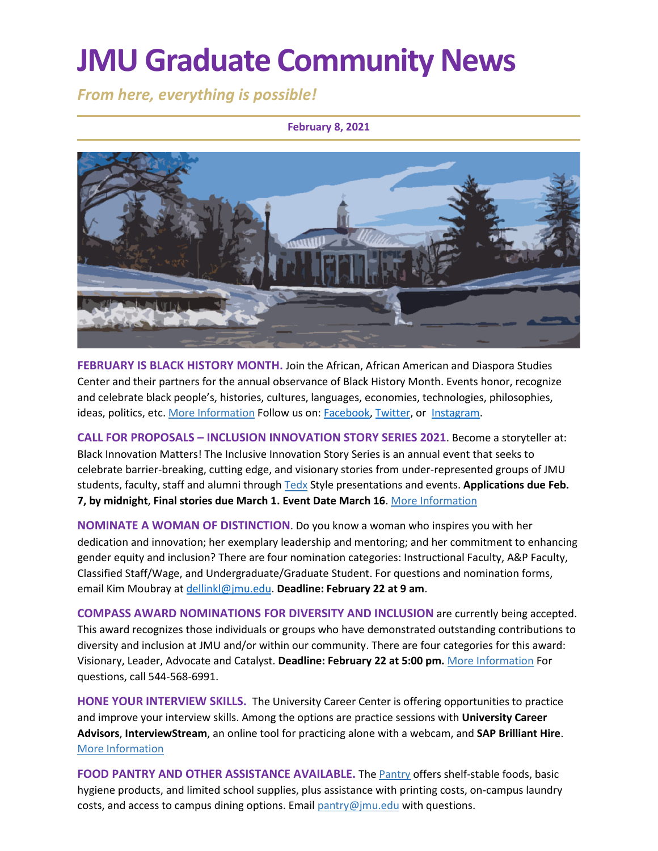# **JMU Graduate Community News**

*From here, everything is possible!*

#### **February 8, 2021**



**FEBRUARY IS BLACK HISTORY MONTH.** Join the African, African American and Diaspora Studies Center and their partners for the annual observance of Black History Month. Events honor, recognize and celebrate black people's, histories, cultures, languages, economies, technologies, philosophies, ideas, politics, etc[. More Information](https://spark.adobe.com/page/h3iTBehlFtNV0/) Follow us on: [Facebook,](https://www.facebook.com/JMUAAAD) [Twitter,](https://twitter.com/aaadstudies) or [Instagram.](https://www.instagram.com/aaadstudiesjmu/)

**CALL FOR PROPOSALS – INCLUSION INNOVATION STORY SERIES 2021**. Become a storyteller at: Black Innovation Matters! The Inclusive Innovation Story Series is an annual event that seeks to celebrate barrier-breaking, cutting edge, and visionary stories from under-represented groups of JMU students, faculty, staff and alumni throug[h Tedx](https://www.ted.com/watch/tedx-talks) Style presentations and events. **Applications due Feb. 7, by midnight**, **Final stories due March 1. Event Date March 16**. [More Information](https://jmuxlabs.org/inclusive-innovation-story-series/)

**NOMINATE A WOMAN OF DISTINCTION**. Do you know a woman who inspires you with her dedication and innovation; her exemplary leadership and mentoring; and her commitment to enhancing gender equity and inclusion? There are four nomination categories: Instructional Faculty, A&P Faculty, Classified Staff/Wage, and Undergraduate/Graduate Student. For questions and nomination forms, email Kim Moubray at [dellinkl@jmu.edu.](mailto:dellinkl@jmu.edu) **Deadline: February 22 at 9 am**.

**COMPASS AWARD NOMINATIONS FOR DIVERSITY AND INCLUSION** are currently being accepted. This award recognizes those individuals or groups who have demonstrated outstanding contributions to diversity and inclusion at JMU and/or within our community. There are four categories for this award: Visionary, Leader, Advocate and Catalyst. **Deadline: February 22 at 5:00 pm.** [More Information](https://www.jmu.edu/diversity/programs-and-events/compass-award.shtml) For questions, call 544-568-6991.

**HONE YOUR INTERVIEW SKILLS.** The University Career Center is offering opportunities to practice and improve your interview skills. Among the options are practice sessions with **University Career Advisors**, **InterviewStream**, an online tool for practicing alone with a webcam, and **SAP Brilliant Hire**. [More Information](https://www.jmu.edu/career/students/jobintern/interview/practice.shtml)

**FOOD PANTRY AND OTHER ASSISTANCE AVAILABLE.** The [Pantry](https://info.jmu.edu/ocl/pop-up-pantry/) offers shelf-stable foods, basic hygiene products, and limited school supplies, plus assistance with printing costs, on-campus laundry costs, and access to campus dining options. Email  $\frac{paintv}{Qjmu$ .edu with questions.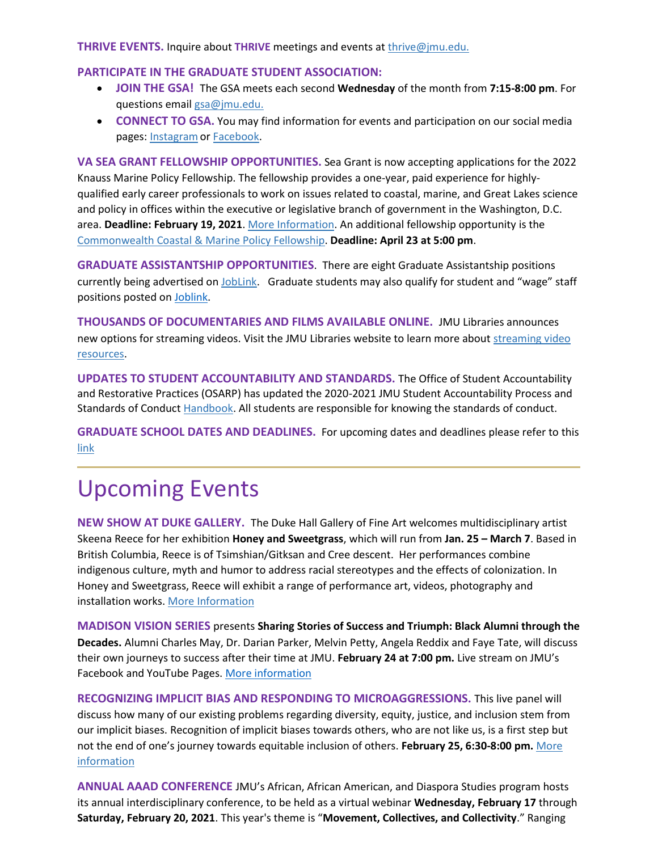#### **THRIVE EVENTS.** Inquire about **THRIVE** meetings and events at [thrive@jmu.edu.](mailto:thrive@jmu.edu)

#### **PARTICIPATE IN THE GRADUATE STUDENT ASSOCIATION:**

- **JOIN THE GSA!** The GSA meets each second **Wednesday** of the month from **7:15-8:00 pm**. For questions email [gsa@jmu.edu.](mailto:gsa@jmu.edu)
- **CONNECT TO GSA.** You may find information for events and participation on our social media pages: [Instagramo](https://www.instagram.com/jmu_gsa/)r [Facebook.](https://www.facebook.com/JMUGSA/)

**VA SEA GRANT FELLOWSHIP OPPORTUNITIES.** Sea Grant is now accepting applications for the 2022 Knauss Marine Policy Fellowship. The fellowship provides a one-year, paid experience for highlyqualified early career professionals to work on issues related to coastal, marine, and Great Lakes science and policy in offices within the executive or legislative branch of government in the Washington, D.C. area. **Deadline: February 19, 2021**[. More Information.](https://vaseagrant.org/fellowship-research-funding/fellowships/post-graduate-professional-fellowships/sea-grant-knauss-marine-policy-fellowship/?utm_source=VASG+Newsletter&utm_campaign=b57609cc9f-EMAIL_CAMPAIGN_2019_10_02_05_31_COPY_01&utm_medium=email&utm_term=0_b691fb6d5b-b57609cc9f-455757025) An additional fellowship opportunity is the [Commonwealth Coastal & Marine Policy Fellowship.](https://vaseagrant.org/fellowship-research-funding/fellowships/post-graduate-professional-fellowships/commonwealth-coastal-marine-fellowship/?utm_source=VASG+Newsletter&utm_campaign=b57609cc9f-EMAIL_CAMPAIGN_2019_10_02_05_31_COPY_01&utm_medium=email&utm_term=0_b691fb6d5b-b57609cc9f-455757025) **Deadline: April 23 at 5:00 pm**.

**GRADUATE ASSISTANTSHIP OPPORTUNITIES**. There are eight Graduate Assistantship positions currently being advertised on [JobLink.](https://joblink.jmu.edu/postings/search?utf8=%E2%9C%93&query=&query_v0_posted_at_date=&query_position_type_id%5B%5D=2&435=&query_organizational_tier_3_id%5B%5D=any&commit=Search) Graduate students may also qualify for student and "wage" staff positions posted on [Joblink.](https://joblink.jmu.edu/)

**THOUSANDS OF DOCUMENTARIES AND FILMS AVAILABLE ONLINE.** JMU Libraries announces new options for streaming videos. Visit the JMU Libraries website to learn more about [streaming video](https://guides.lib.jmu.edu/az.php?t=24588&utm_source=staff-monthly&utm_medium=email&utm_campaign=2021_01_06&utm_content=text_additional-streaming-video-resources)  [resources.](https://guides.lib.jmu.edu/az.php?t=24588&utm_source=staff-monthly&utm_medium=email&utm_campaign=2021_01_06&utm_content=text_additional-streaming-video-resources)

**UPDATES TO STUDENT ACCOUNTABILITY AND STANDARDS.** The Office of Student Accountability and Restorative Practices (OSARP) has updated the 2020-2021 JMU Student Accountability Process and Standards of Conduc[t Handbook.](http://www.jmu.edu/handbook) All students are responsible for knowing the standards of conduct.

**GRADUATE SCHOOL DATES AND DEADLINES.** For upcoming dates and deadlines please refer to this [link](https://www.jmu.edu/registrar/academic-calendar.shtml)

## Upcoming Events

**NEW SHOW AT DUKE GALLERY.** The Duke Hall Gallery of Fine Art welcomes multidisciplinary artist Skeena Reece for her exhibition **Honey and Sweetgrass**, which will run from **Jan. 25 – March 7**. Based in British Columbia, Reece is of Tsimshian/Gitksan and Cree descent. Her performances combine indigenous culture, myth and humor to address racial stereotypes and the effects of colonization. In Honey and Sweetgrass, Reece will exhibit a range of performance art, videos, photography and installation works. More Information

**MADISON VISION SERIES** presents **Sharing Stories of Success and Triumph: Black Alumni through the Decades.** Alumni Charles May, Dr. Darian Parker, Melvin Petty, Angela Reddix and Faye Tate, will discuss their own journeys to success after their time at JMU. **February 24 at 7:00 pm.** Live stream on JMU's Facebook and YouTube Pages. [More information](https://www.jmu.edu/president/mvs/)

**RECOGNIZING IMPLICIT BIAS AND RESPONDING TO MICROAGGRESSIONS.** This live panel will discuss how many of our existing problems regarding diversity, equity, justice, and inclusion stem from our implicit biases. Recognition of implicit biases towards others, who are not like us, is a first step but not the end of one's journey towards equitable inclusion of others. **February 25, 6:30-8:00 pm.** [More](https://www.jmu.edu/cob/diversitycouncil/events/index.shtml)  [information](https://www.jmu.edu/cob/diversitycouncil/events/index.shtml)

**ANNUAL AAAD CONFERENCE** JMU's African, African American, and Diaspora Studies program hosts its annual interdisciplinary conference, to be held as a virtual webinar **Wednesday, February 17** through **Saturday, February 20, 2021**. This year's theme is "**Movement, Collectives, and Collectivity**." Ranging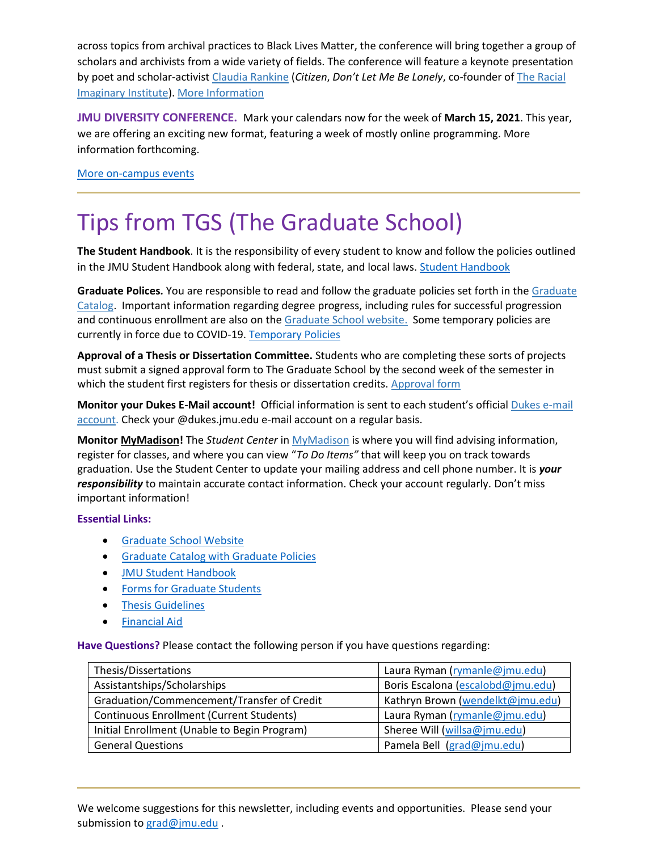across topics from archival practices to Black Lives Matter, the conference will bring together a group of scholars and archivists from a wide variety of fields. The conference will feature a keynote presentation by poet and scholar-activist [Claudia Rankine](https://afamstudies.yale.edu/people/claudia-rankine) (*Citizen*, *Don't Let Me Be Lonely*, co-founder o[f](https://theracialimaginary.org/) [The Racial](https://theracialimaginary.org/)  [Imaginary Institute\)](https://theracialimaginary.org/). [More Information](https://www.jmu.edu/africana/aaad-conference.shtml)

**JMU DIVERSITY CONFERENCE.** Mark your calendars now for the week of **March 15, 2021**. This year, we are offering an exciting new format, featuring a week of mostly online programming. More information forthcoming.

[More on-campus events](https://ems.jmu.edu/MasterCalendar/MasterCalendar.aspx?_ga=2.261279492.802742690.1601384782-920476218.1518451077)

### Tips from TGS (The Graduate School)

**The Student Handbook**. It is the responsibility of every student to know and follow the policies outlined in the JMU Student Handbook along with federal, state, and local laws[. Student Handbook](https://www.jmu.edu/osarp/handbook/index.shtml)

**Graduate Polices.** You are responsible to read and follow the graduate policies set forth in the [Graduate](http://jmu.edu/catalog)  [Catalog.](http://jmu.edu/catalog) Important information regarding degree progress, including rules for successful progression and continuous enrollment are also on the [Graduate School website.](https://www.jmu.edu/grad/current-students/degree-progress/index.shtml) Some temporary policies are currently in force due to COVID-19. [Temporary Policies](https://www.jmu.edu/grad/temporary-graduate-school-policies.shtml)

**Approval of a Thesis or Dissertation Committee.** Students who are completing these sorts of projects must submit a signed approval form to The Graduate School by the second week of the semester in which the student first registers for thesis or dissertation credits. [Approval form](https://www.jmu.edu/grad/_files/CommitteeApprovalForm2017-18.pdf)

**Monitor your Dukes E-Mail account!** Official information is sent to each student's official [Dukes e-mail](http://www.jmu.edu/computing/helpdesk/selfhelp/DukesEmail.shtml)  [account.](http://www.jmu.edu/computing/helpdesk/selfhelp/DukesEmail.shtml) Check your @dukes.jmu.edu e-mail account on a regular basis.

**Monitor [MyMadison!](http://mymadison.jmu.edu/)** The *Student Center* in [MyMadison](http://mymadison.jmu.edu/) is where you will find advising information, register for classes, and where you can view "*To Do Items"* that will keep you on track towards graduation. Use the Student Center to update your mailing address and cell phone number. It is *your responsibility* to maintain accurate contact information. Check your account regularly. Don't miss important information!

#### **Essential Links:**

- [Graduate School Website](http://www.jmu.edu/grad)
- [Graduate Catalog with Graduate Policies](http://www.jmu.edu/catalog/index.shtml)
- **[JMU Student Handbook](https://www.jmu.edu/osarp/handbook/index.shtml)**
- **•** [Forms for Graduate Students](http://www.jmu.edu/grad/current-students/graduate-forms.shtml)
- **•** [Thesis Guidelines](http://www.jmu.edu/grad/current-students/thesis-dissertation/information.shtml)
- [Financial Aid](http://www.jmu.edu/finaid/sap.shtml)

**Have Questions?** Please contact the following person if you have questions regarding:

| Thesis/Dissertations                            | Laura Ryman (rymanle@jmu.edu)     |
|-------------------------------------------------|-----------------------------------|
| Assistantships/Scholarships                     | Boris Escalona (escalobd@jmu.edu) |
| Graduation/Commencement/Transfer of Credit      | Kathryn Brown (wendelkt@jmu.edu)  |
| <b>Continuous Enrollment (Current Students)</b> | Laura Ryman (rymanle@jmu.edu)     |
| Initial Enrollment (Unable to Begin Program)    | Sheree Will (willsa@jmu.edu)      |
| <b>General Questions</b>                        | Pamela Bell (grad@jmu.edu)        |